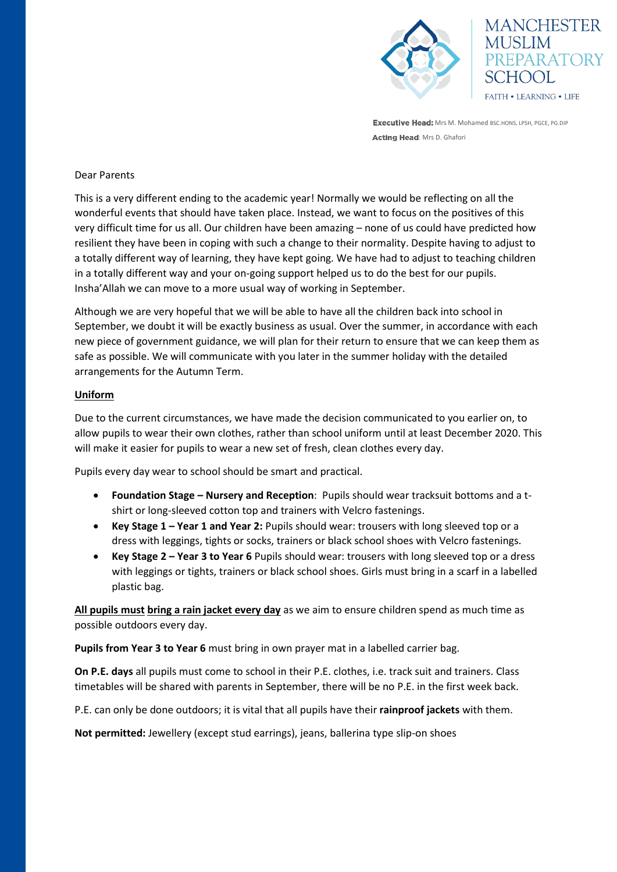



**Executive Head:** Mrs M. Mohamed BSC.HONS, LPSH, PGCE, PG.DIP Acting Head: Mrs D. Ghafori

# Dear Parents

This is a very different ending to the academic year! Normally we would be reflecting on all the wonderful events that should have taken place. Instead, we want to focus on the positives of this very difficult time for us all. Our children have been amazing – none of us could have predicted how resilient they have been in coping with such a change to their normality. Despite having to adjust to a totally different way of learning, they have kept going. We have had to adjust to teaching children in a totally different way and your on-going support helped us to do the best for our pupils. Insha'Allah we can move to a more usual way of working in September.

Although we are very hopeful that we will be able to have all the children back into school in September, we doubt it will be exactly business as usual. Over the summer, in accordance with each new piece of government guidance, we will plan for their return to ensure that we can keep them as safe as possible. We will communicate with you later in the summer holiday with the detailed arrangements for the Autumn Term.

## **Uniform**

Due to the current circumstances, we have made the decision communicated to you earlier on, to allow pupils to wear their own clothes, rather than school uniform until at least December 2020. This will make it easier for pupils to wear a new set of fresh, clean clothes every day.

Pupils every day wear to school should be smart and practical.

- **Foundation Stage – Nursery and Reception**: Pupils should wear tracksuit bottoms and a tshirt or long-sleeved cotton top and trainers with Velcro fastenings.
- **Key Stage 1 – Year 1 and Year 2:** Pupils should wear: trousers with long sleeved top or a dress with leggings, tights or socks, trainers or black school shoes with Velcro fastenings.
- **Key Stage 2 – Year 3 to Year 6** Pupils should wear: trousers with long sleeved top or a dress with leggings or tights, trainers or black school shoes. Girls must bring in a scarf in a labelled plastic bag.

**All pupils must bring a rain jacket every day** as we aim to ensure children spend as much time as possible outdoors every day.

**Pupils from Year 3 to Year 6** must bring in own prayer mat in a labelled carrier bag.

**On P.E. days** all pupils must come to school in their P.E. clothes, i.e. track suit and trainers. Class timetables will be shared with parents in September, there will be no P.E. in the first week back.

P.E. can only be done outdoors; it is vital that all pupils have their **rainproof jackets** with them.

**Not permitted:** Jewellery (except stud earrings), jeans, ballerina type slip-on shoes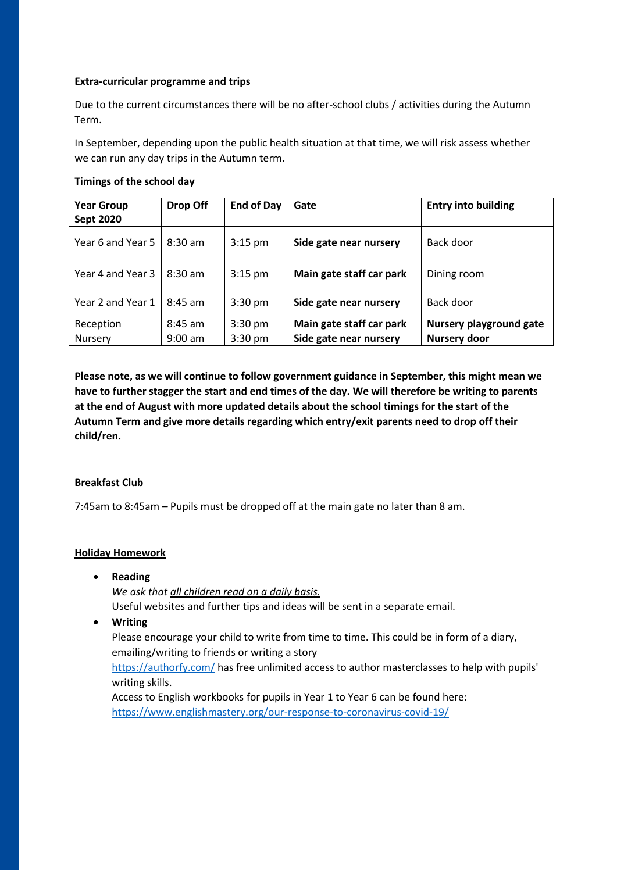## **Extra-curricular programme and trips**

Due to the current circumstances there will be no after-school clubs / activities during the Autumn Term.

In September, depending upon the public health situation at that time, we will risk assess whether we can run any day trips in the Autumn term.

## **Timings of the school day**

| <b>Year Group</b><br><b>Sept 2020</b> | Drop Off          | <b>End of Day</b> | Gate                     | <b>Entry into building</b> |
|---------------------------------------|-------------------|-------------------|--------------------------|----------------------------|
| Year 6 and Year 5                     | $8:30 \text{ am}$ | $3:15$ pm         | Side gate near nursery   | Back door                  |
| Year 4 and Year 3                     | $8:30$ am         | $3:15$ pm         | Main gate staff car park | Dining room                |
| Year 2 and Year 1                     | $8:45$ am         | $3:30$ pm         | Side gate near nursery   | Back door                  |
| Reception                             | $8:45$ am         | $3:30$ pm         | Main gate staff car park | Nursery playground gate    |
| <b>Nursery</b>                        | $9:00$ am         | $3:30$ pm         | Side gate near nursery   | Nursery door               |

**Please note, as we will continue to follow government guidance in September, this might mean we have to further stagger the start and end times of the day. We will therefore be writing to parents at the end of August with more updated details about the school timings for the start of the Autumn Term and give more details regarding which entry/exit parents need to drop off their child/ren.** 

## **Breakfast Club**

7:45am to 8:45am – Pupils must be dropped off at the main gate no later than 8 am.

#### **Holiday Homework**

**Reading** 

*We ask that all children read on a daily basis.* 

Useful websites and further tips and ideas will be sent in a separate email.

**Writing** 

Please encourage your child to write from time to time. This could be in form of a diary, emailing/writing to friends or writing a story

<https://authorfy.com/>has free unlimited access to author masterclasses to help with pupils' writing skills.

Access to English workbooks for pupils in Year 1 to Year 6 can be found here: <https://www.englishmastery.org/our-response-to-coronavirus-covid-19/>